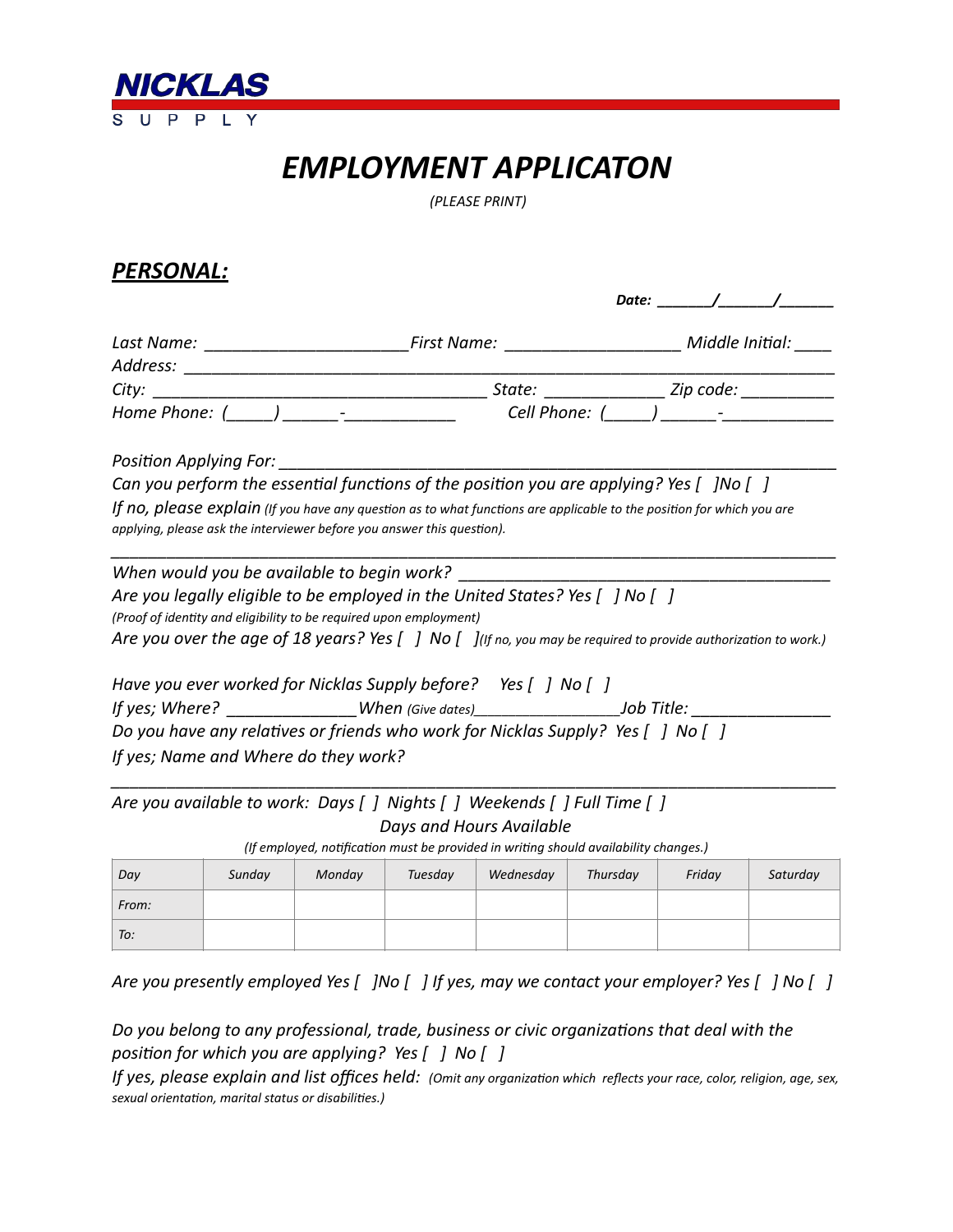

*PERSONAL:* 

# **EMPLOYMENT APPLICATON**

 *(PLEASE PRINT)* 

| <i>PERSUNAL:</i>                                                                                                                                                                                                                    |                                                                                         |                                                                                                                          |
|-------------------------------------------------------------------------------------------------------------------------------------------------------------------------------------------------------------------------------------|-----------------------------------------------------------------------------------------|--------------------------------------------------------------------------------------------------------------------------|
|                                                                                                                                                                                                                                     |                                                                                         |                                                                                                                          |
|                                                                                                                                                                                                                                     |                                                                                         | Last Name: ____________________________First Name: ____________________________Middle Initial: _____                     |
|                                                                                                                                                                                                                                     |                                                                                         |                                                                                                                          |
|                                                                                                                                                                                                                                     |                                                                                         |                                                                                                                          |
|                                                                                                                                                                                                                                     |                                                                                         |                                                                                                                          |
| <i>Position Applying For:</i> The Management of the Management of the Management of the Management of the Management of the Management of the Management of the Management of the Management of the Management of the Management of |                                                                                         |                                                                                                                          |
|                                                                                                                                                                                                                                     | Can you perform the essential functions of the position you are applying? Yes [ ]No [ ] |                                                                                                                          |
| applying, please ask the interviewer before you answer this question).                                                                                                                                                              |                                                                                         | If no, please explain (If you have any question as to what functions are applicable to the position for which you are    |
|                                                                                                                                                                                                                                     |                                                                                         |                                                                                                                          |
| (Proof of identity and eligibility to be required upon employment)                                                                                                                                                                  | Are you legally eligible to be employed in the United States? Yes [] No []              |                                                                                                                          |
|                                                                                                                                                                                                                                     |                                                                                         | Are you over the age of 18 years? Yes $\int$ J No $\int$ ](If no, you may be required to provide authorization to work.) |
|                                                                                                                                                                                                                                     | Have you ever worked for Nicklas Supply before? Yes [] No []                            |                                                                                                                          |
|                                                                                                                                                                                                                                     |                                                                                         | If yes; Where? ________________When (Give dates)_________________________Job Title: ________________                     |
|                                                                                                                                                                                                                                     | Do you have any relatives or friends who work for Nicklas Supply? Yes [] No []          |                                                                                                                          |
| If yes; Name and Where do they work?                                                                                                                                                                                                |                                                                                         |                                                                                                                          |
|                                                                                                                                                                                                                                     | Are you available to work: Days [ ] Nights [ ] Weekends [ ] Full Time [ ]               |                                                                                                                          |

*Days and Hours Available* 

(If employed, notification must be provided in writing should availability changes.)

| Day   | Sunday | Monday | Tuesday | Wednesday | Thursday | Friday | Saturday |
|-------|--------|--------|---------|-----------|----------|--------|----------|
| From: |        |        |         |           |          |        |          |
| To:   |        |        |         |           |          |        |          |

*Are you presently employed Yes* [  $\int$  ]No [  $\int$  ] If yes, may we contact your employer? Yes [  $\int$  No [  $\int$ 

Do you belong to any professional, trade, business or civic organizations that deal with the *position for which you are applying? Yes* [ ] No [ ]

If yes, please explain and list offices held: (Omit any organization which reflects your race, color, religion, age, sex, sexual orientation, marital status or disabilities.)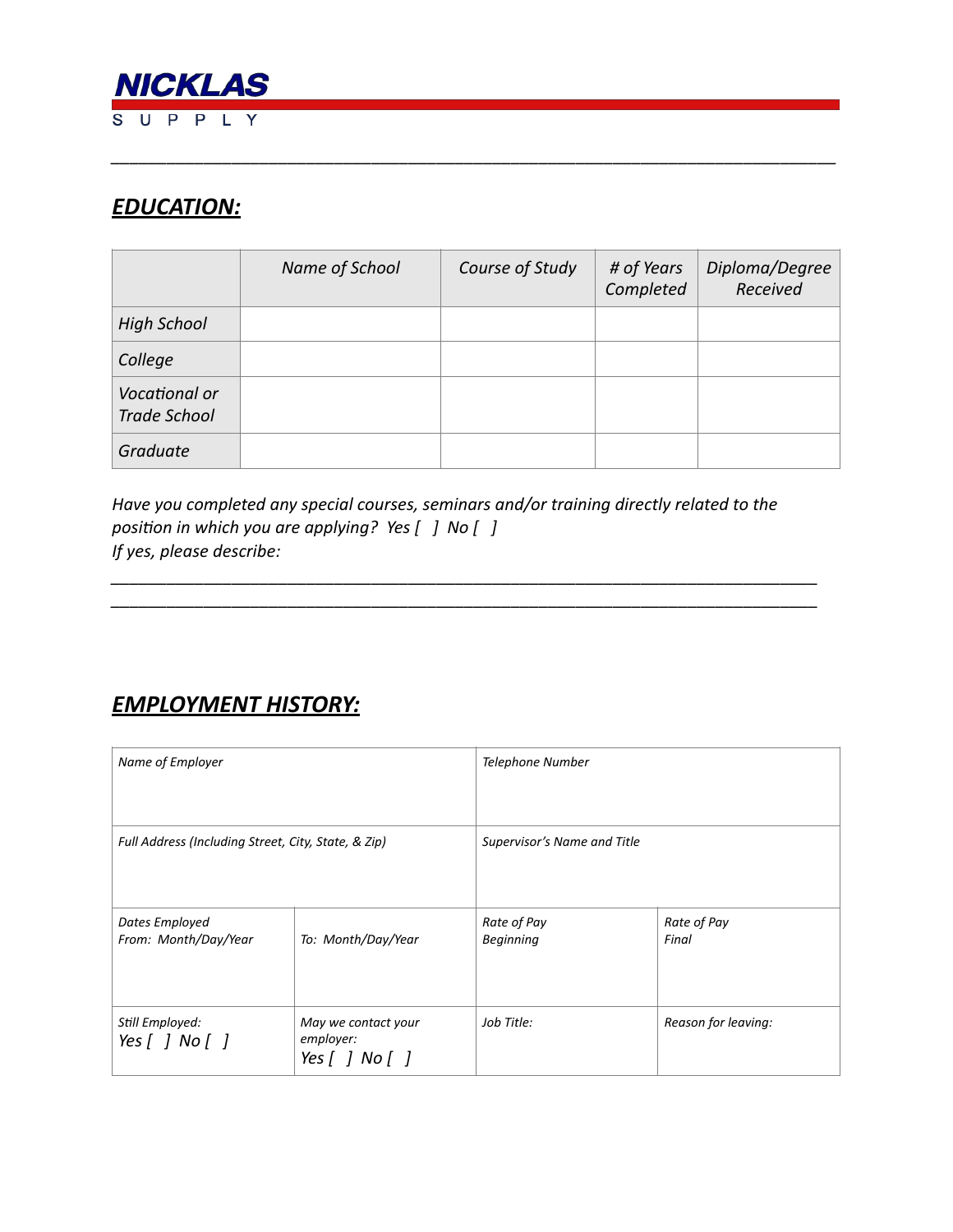

## *EDUCATION:*

|                                      | Name of School | Course of Study | # of Years<br>Completed | Diploma/Degree<br>Received |
|--------------------------------------|----------------|-----------------|-------------------------|----------------------------|
| <b>High School</b>                   |                |                 |                         |                            |
| College                              |                |                 |                         |                            |
| Vocational or<br><b>Trade School</b> |                |                 |                         |                            |
| Graduate                             |                |                 |                         |                            |

*\_\_\_\_\_\_\_\_\_\_\_\_\_\_\_\_\_\_\_\_\_\_\_\_\_\_\_\_\_\_\_\_\_\_\_\_\_\_\_\_\_\_\_\_\_\_\_\_\_\_\_\_\_\_\_\_\_\_\_\_\_\_\_\_\_\_\_\_\_\_\_\_\_\_\_\_\_\_* 

Have you completed any special courses, seminars and/or training directly related to the *position in which you are applying? Yes* [ ] No [ ] *If yes, please describe:* 

*\_\_\_\_\_\_\_\_\_\_\_\_\_\_\_\_\_\_\_\_\_\_\_\_\_\_\_\_\_\_\_\_\_\_\_\_\_\_\_\_\_\_\_\_\_\_\_\_\_\_\_\_\_\_\_\_\_\_\_\_\_\_\_\_\_\_\_\_\_\_\_\_\_\_\_\_ \_\_\_\_\_\_\_\_\_\_\_\_\_\_\_\_\_\_\_\_\_\_\_\_\_\_\_\_\_\_\_\_\_\_\_\_\_\_\_\_\_\_\_\_\_\_\_\_\_\_\_\_\_\_\_\_\_\_\_\_\_\_\_\_\_\_\_\_\_\_\_\_\_\_\_\_* 

### **EMPLOYMENT HISTORY:**

| Name of Employer                                    |                                                        | Telephone Number                |                      |
|-----------------------------------------------------|--------------------------------------------------------|---------------------------------|----------------------|
| Full Address (Including Street, City, State, & Zip) |                                                        | Supervisor's Name and Title     |                      |
| Dates Employed<br>From: Month/Day/Year              | To: Month/Day/Year                                     | Rate of Pay<br><b>Beginning</b> | Rate of Pay<br>Final |
| Still Employed:<br>Yes $[ ]$ No $[ ]$               | May we contact your<br>employer:<br>Yes $[ ]$ No $[ ]$ | Job Title:                      | Reason for leaving:  |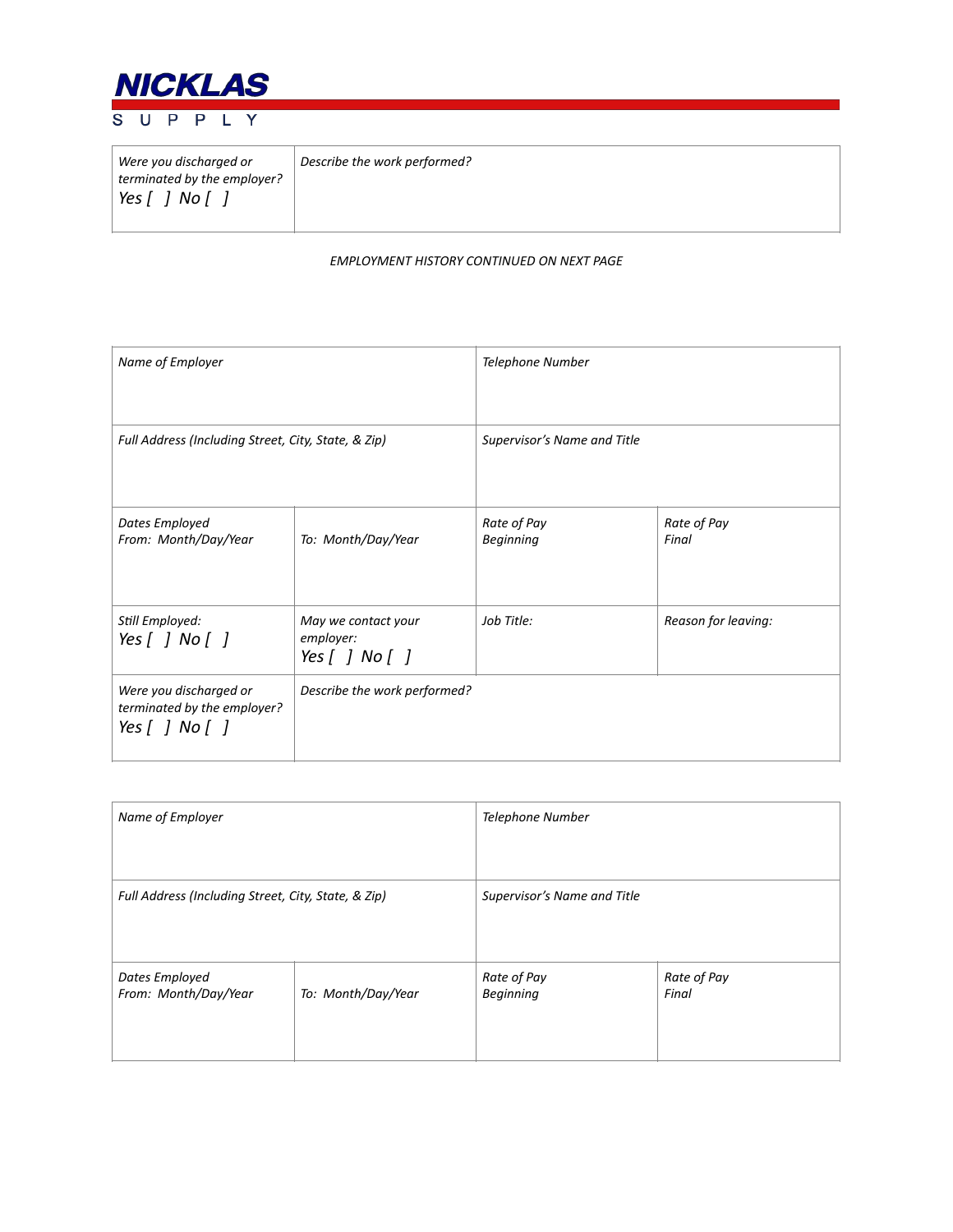

| Were you discharged or<br>terminated by the employer?<br>Yes $\lceil$   No $\lceil$ | Describe the work performed? |
|-------------------------------------------------------------------------------------|------------------------------|
|                                                                                     |                              |

#### **EMPLOYMENT HISTORY CONTINUED ON NEXT PAGE**

| Name of Employer                                                            |                                                        | Telephone Number                |                      |
|-----------------------------------------------------------------------------|--------------------------------------------------------|---------------------------------|----------------------|
| Full Address (Including Street, City, State, & Zip)                         |                                                        | Supervisor's Name and Title     |                      |
| Dates Employed<br>From: Month/Day/Year                                      | To: Month/Day/Year                                     | Rate of Pay<br><b>Beginning</b> | Rate of Pay<br>Final |
| Still Employed:<br>Yes $[ ]$ No $[ ]$                                       | May we contact your<br>employer:<br>Yes $[ ]$ No $[ ]$ | Job Title:                      | Reason for leaving:  |
| Were you discharged or<br>terminated by the employer?<br>Yes $[ ]$ No $[ ]$ | Describe the work performed?                           |                                 |                      |

| Name of Employer                                    |                    | Telephone Number                |                      |
|-----------------------------------------------------|--------------------|---------------------------------|----------------------|
| Full Address (Including Street, City, State, & Zip) |                    | Supervisor's Name and Title     |                      |
| Dates Employed<br>From: Month/Day/Year              | To: Month/Day/Year | Rate of Pay<br><b>Beginning</b> | Rate of Pay<br>Final |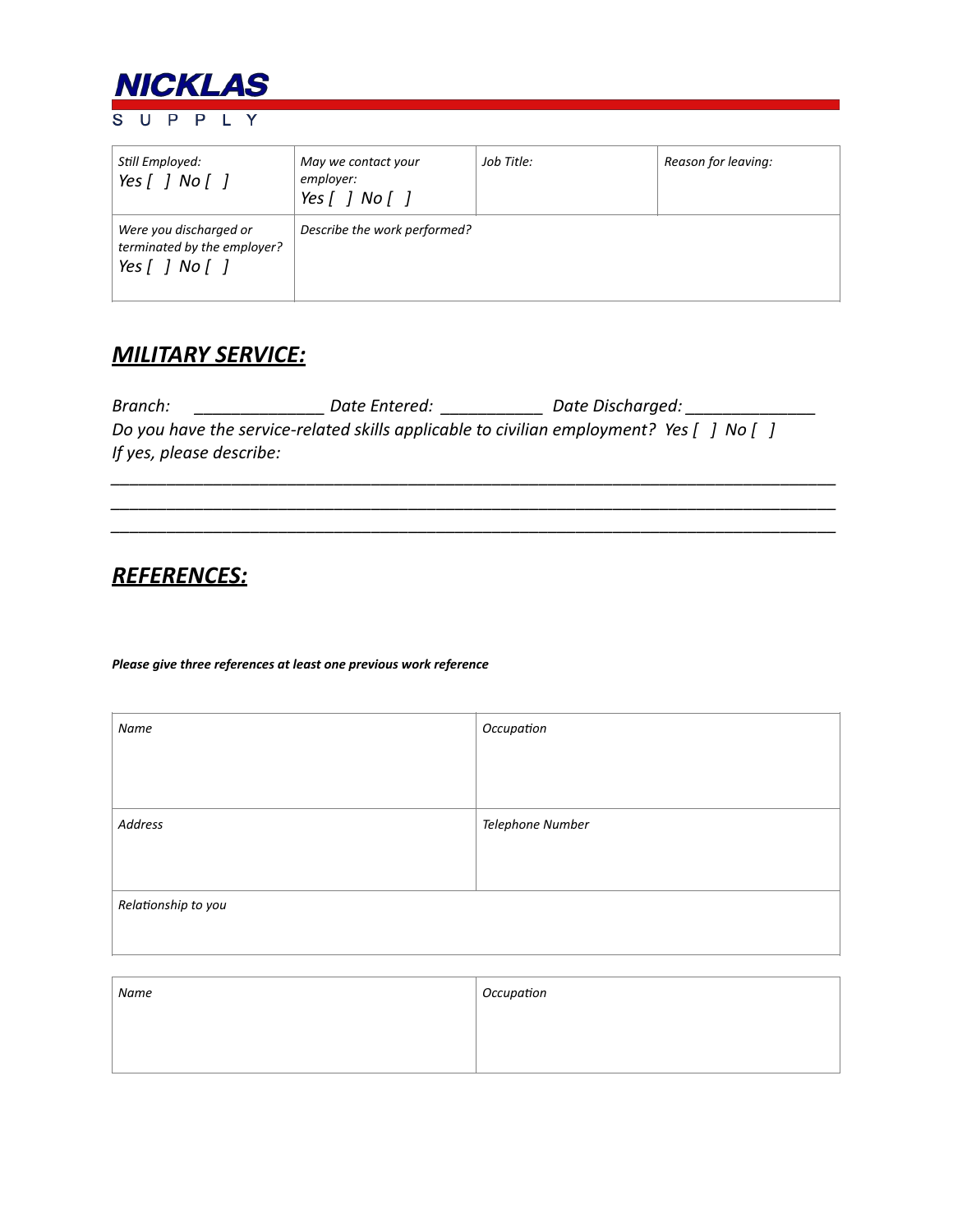

| Still Employed:<br>Yes $\lceil$ $\rceil$ No $\lceil$ $\rceil$                                       | May we contact your<br>employer:<br>Yes $\lceil$ $\rceil$ No $\lceil$ $\rceil$ | Job Title: | Reason for leaving: |
|-----------------------------------------------------------------------------------------------------|--------------------------------------------------------------------------------|------------|---------------------|
| Were you discharged or<br>terminated by the employer?<br>Yes $\lceil$ $\rceil$ No $\lceil$ $\rceil$ | Describe the work performed?                                                   |            |                     |

### **MILITARY SERVICE:**

**Branch:** \_\_\_\_\_\_\_\_\_\_\_\_\_\_\_\_\_\_\_ Date Entered: \_\_\_\_\_\_\_\_\_\_\_\_\_\_ Date Discharged: \_\_\_\_\_\_\_\_\_\_\_\_\_\_\_\_\_\_\_\_\_\_\_\_ *Do* you have the service-related skills applicable to civilian employment? Yes [ ] No [ ] *If yes, please describe:* 

*\_\_\_\_\_\_\_\_\_\_\_\_\_\_\_\_\_\_\_\_\_\_\_\_\_\_\_\_\_\_\_\_\_\_\_\_\_\_\_\_\_\_\_\_\_\_\_\_\_\_\_\_\_\_\_\_\_\_\_\_\_\_\_\_\_\_\_\_\_\_\_\_\_\_\_\_\_\_ \_\_\_\_\_\_\_\_\_\_\_\_\_\_\_\_\_\_\_\_\_\_\_\_\_\_\_\_\_\_\_\_\_\_\_\_\_\_\_\_\_\_\_\_\_\_\_\_\_\_\_\_\_\_\_\_\_\_\_\_\_\_\_\_\_\_\_\_\_\_\_\_\_\_\_\_\_\_ \_\_\_\_\_\_\_\_\_\_\_\_\_\_\_\_\_\_\_\_\_\_\_\_\_\_\_\_\_\_\_\_\_\_\_\_\_\_\_\_\_\_\_\_\_\_\_\_\_\_\_\_\_\_\_\_\_\_\_\_\_\_\_\_\_\_\_\_\_\_\_\_\_\_\_\_\_\_* 

# *REFERENCES:*

*Please give three references at least one previous work reference* 

| Name                | Occupation       |
|---------------------|------------------|
|                     |                  |
|                     |                  |
| Address             | Telephone Number |
|                     |                  |
|                     |                  |
| Relationship to you |                  |
|                     |                  |

| Name | Occupation |
|------|------------|
|      |            |
|      |            |
|      |            |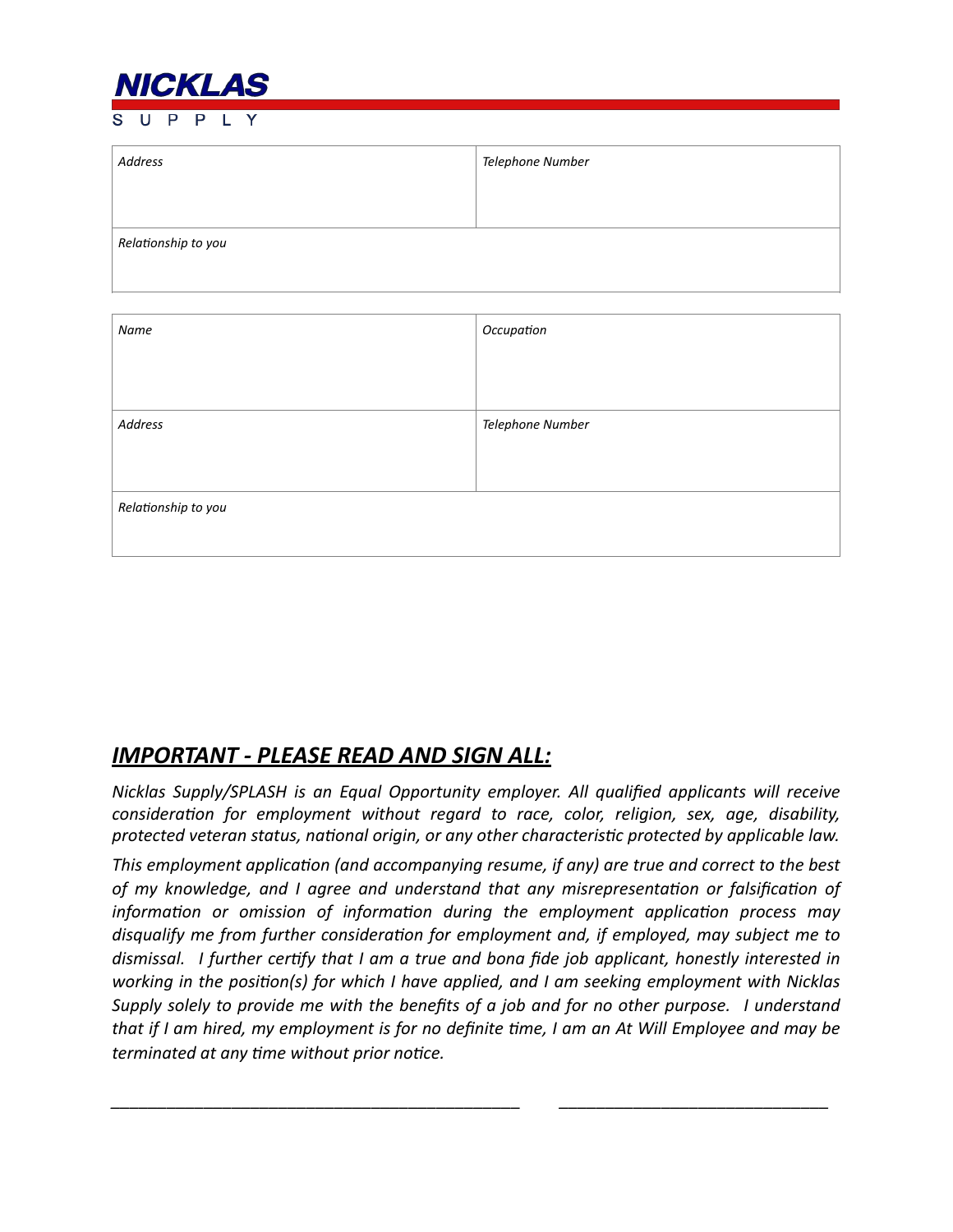

| Address             | Telephone Number |
|---------------------|------------------|
|                     |                  |
| Relationship to you |                  |
|                     |                  |

| Name                | Occupation       |
|---------------------|------------------|
|                     |                  |
|                     |                  |
| Address             | Telephone Number |
|                     |                  |
|                     |                  |
| Relationship to you |                  |
|                     |                  |

### *IMPORTANT - PLEASE READ AND SIGN ALL:*

*Nicklas Supply/SPLASH is an Equal Opportunity employer. All qualified applicants will receive consideration for employment without regard to race, color, religion, sex, age, disability,* protected veteran status, national origin, or any other characteristic protected by applicable law.

This employment application (and accompanying resume, if any) are true and correct to the best of my knowledge, and I agree and understand that any misrepresentation or falsification of *information* or omission of information during the employment application process may disqualify me from further consideration for employment and, if employed, may subject me to *dismissal.* I further certify that I am a true and bona fide job applicant, honestly interested in *working* in the position(s) for which I have applied, and I am seeking employment with Nicklas *Supply* solely to provide me with the benefits of a job and for no other purpose. I understand *that if I am hired, my employment is for no definite time, I am an At Will Employee and may be terminated at any time without prior notice.* 

*\_\_\_\_\_\_\_\_\_\_\_\_\_\_\_\_\_\_\_\_\_\_\_\_\_\_\_\_\_\_\_\_\_\_\_\_\_\_\_\_\_\_\_\_ \_\_\_\_\_\_\_\_\_\_\_\_\_\_\_\_\_\_\_\_\_\_\_\_\_\_\_\_\_*